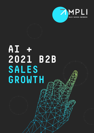



# **AI + 2021 B2B SALES GROWTH**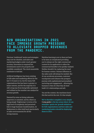## **B2B ORGANISATIONS IN 2021 FACE IMMENSE GROWTH PRESSURE TO ALLEVIATE DROPPED REVENUES FROM THE PANDEMIC.**

Previous 'traditional' tactics and strategies may now be obsolete, and sales and marketing budgets under much greater scrutiny. Innovation is required but investments need to be properly and carefully considered. The clock meanwhile continues to tick fast.

Artificial Intelligence has been existing in b2b sales and marketing efforts for the last 5-10 years or so, but for many b2b organisations this has been to greater or lesser extents, and for the majority it is still a long way from being fully optimised and utilised as the number one catalyst for revenue growth.

Deemed by some as being unknown, unproven or untested, and by others as being simply 'frightening' in terms of its high level of complexity and perceived link to huge business transformation, AI deployment is often held back (particularly in sales environments) for all the wrong reasons.

Machine learning is not or does not have to be seen as complicated providing you've always set the right commercial context for its application to allow the commercial benefits to be quickly realised. Neither should it be replacing the need for human contact. Human influence in the sales cycle will always be needed. But AI can accelerate processes, customer touchpoints and enhance the prospect journey with sophisticated personalised nurturing and engagement... allowing the humans to then do what they do best build 121 relationships and sell.

You set the context, the machines learn this fast and do the rest. It's that simple.

We've therefore compiled a very simple 5 step guide to the key areas where AI can stimulate 'quick win' growth initiatives for b2b organisations and how sales and marketing leaders should be deploying these in 2021.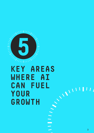

# **KEY AREAS**  WHERE AI<br>CAN FUEL<br>YOUR<br>GROWTH ANALLY **CAN FUEL YOUR GROWTH**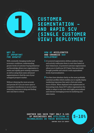

**CUSTOMER SEGMENTATION – AND RAPID SCV (SINGLE CUSTOMER VIEW) DEPLOYMENT**

### **WHY IS IT IMPORTANT FOR GROWTH?**

With constantly changing market and economic conditions, understanding greater levels of customer buying behaviour and knowledge allows your organisation to retain and rapidly grow existing customers as well as using these same advanced segmentations to find the rest of your untapped prospect market.

Without obtaining the most accurate and precise SCV you are more open to competitor interference in an era where retaining customers is king and finding new ones fast is critical.

#### **HOW AI ACCELERATES AND ENHANCES SCV DEPLOYMENT**

- **1** AI-powered segmentation defines audience types and actively reallocates them in real-time based on their behaviours. AI powered customer segmentation allows you to build your SCV faster than previously thought possible and unlock it with unparalleled levels of personalisation.
- **2** You then have absolute clarity on the most profitable customer profiles which enables you to rapidly deploy marketing responses that seek to find and retain more of them. When deployed with sophisticated AI forecasting tools, these SCV's allow organisations the ability to adapt in real-time with highly personalised and relevant messaging across its marketing and sales teams.

GARTNER HAS SAID THAT ONLY 5-10%<br>Of Businesses are utilising ai (5 - 10% **OF BUSINESSES ARE UTILISING AI TECHNOLOGIES IN THEIR BUSINESSES GARTNER 2019 CIO SURVEY**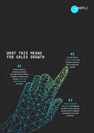

### **#1**

Retain and grow existing customers through using AI driven insights to explore and activate cross-sell opportunities in real-time.

# **#2**

Use the CSV to help you build your prospect universe (new customers) rapidly.

# **#3**

Maximise growth efficiencies by aligning all effort to the customer groups with the highest propensity to up-sell/ purchase.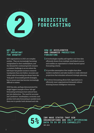

# **PREDICTIVE FORECASTING**

### **WHY IS IT IMPORTANT FOR GROWTH?**

B2B organisations in 2021 are complex entities. They are increasingly becoming marginalised in their marketplaces, and the demand for continued growth remains a constant challenge in an era where the b2b buyer has greater access to research touchpoints than ever before. Accurate and robust sales forecasting has always been the 'holy grail' of successful growth strategies, but in recent years has become increasingly difficult to master.

2020 has also, perhaps demonstrated the single biggest example of how 'old-age' forecasting techniques have almost been put into distinction. The need for accurate and 'predictive' (marketplace, economic and product led) sales forecasting is needed more than ever to predict both demand and risk.

### **HOW AI ACCELERATES AND ENHANCES PREDICTIVE FORCASTING**

- **1** AI technologies rapidly pull together real time data efficiently drawn from multiple interlinked sources and enables an organisation to think beyond typical forecasting criteria.
- **2** AI provides assumption-free insights that allow modern marketers and sales leaders to make informed projections that stimulate advanced strategic planning.
- **3** AI-driven forecasting allows b2b organisations to efficiently meet organisational demands without draining human intelligence resources.

**IBM HAVE STATED THAT B2B ORGANISATIONS ARE ONLY OPTIMISING DATA TO 5% OF ITS CAPABILITY**<br> **5 20** DATA TO 5% OF ITS CAPABILITY

**IBM 2019**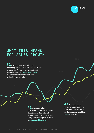

**#1**AI can provide both sales and marketing functions with levels of forecasting accuracy they've never had access to in the past - this provides greater reassurance to both the board and investors on the projections being made.

> **#2** With more robust forecasting, businesses can make the right kind of investments needed to optimise growth whilst also putting robust plans in place to maximise efficiencies.

#3 Robust AI driven predictive forecasting also allows businesses to act on market changing conditions before they arise.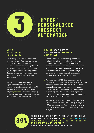

# **'HYPER' PERSONALISED PROSPECT AUTOMATION**

### **WHY IS IT IMPORTANT FOR GROWTH?**

The b2b buying process is now far more complex and open than it was even 5 yet alone 15 years ago. The typical buying process is now dominated by rapid digital researching meaning the b2b buyer now expects highly personalised engagement throughout the journey and quickly turns off if they don't experience it early on in their process.

For that reason alone, in 2021 b2b organisations have to unlock the automation possibilities that exist with AI powered technologies and exploit them fully to hyper-charge the prospect buying experience and provide themselves with the highest propensity to convert customers.

### **HOW AI ACCELERATES AND ENHANCES PROSPECT AUTOMATION**

- **1** Powered by the benefits driven by the CSV, AI technologies allow organisations to develop highly personalised omni channel sales and marketing activities that unfold seamlessly in real-time. From 121 automated cadences within your inside sales operations to mass email automation to larger customer and prospect groups to online highly personalised programmatic advertising.
- **2** AI technologies in 2021 allow immense levels of personalisation, constantly adapting based on customer and prospect behaviour, all of which can be set and deployed by the machines with little or no human interference at all. If optimised by b2b organisations they will significantly accelerate the sales process, delivering efficiencies and conversion improvements all the way down the sales funnel.

**2** *The challenge for many organisations will remain though - how they access and deploy such technology successfully without procurement and departmental drag - and focus efforts on deployment in areas with the quickest impact on sales growth*



**FORBES HAS SAID THAT A RECENT STUDY SHOWS THAT 89% OF B2B BUYERS RANK THE EXPERIENCE PROVIDED BY A COMPANY AT THE SAME LEVEL AS ITS PRODUCTS AND SERVICES**

**50 STATS SHOWING THE POWER OF PERSONALIZATION FEB 2020**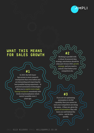

### **#1**

In 2021 the b2b buyer has access to more research touchpoints than even before and are demanding and expecting the best possible buying experience. AI powered automation technologies allow you to exploit every single buying touchpoint seamlessly with levels of personalisation which weren't possible even 2 years ago.

Working in parallel with a robust AI powered data strategy, automation should be a key part of your 2021 growth strategy, and you need to unlock it fast before your competitors do.

**#3**

If you are not optimising automation to its full capability then you cannot be sure your competitors are doing the same… if they are, given the speed of automation they will leave you well behind the curve… and do this quickly.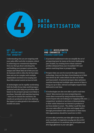

# **DATA PRIORITISATION**

#### **WHY IS IT IMPORTANT FOR GROWTH?**

Understanding who you are targeting with your sales effort and why is mission critical to achieving your commercial objectives. How you then go about unlocking this and building your prospect universe (the unique and robust data set of who you can do business with) is often the bit that takes time and can be complex with multiple stakeholders involved in its scoping and then little central control on how its built.

AI technologies can be rapidly accelerating both the build of your data world (prospect universe) and also help you prioritise effort based on the prospect groups most likely to purchase. Naturally with machine learning - once you've trained the machines, the results are produced in real-time allowing the impact on sales growth to be realised in months not years.

#### **HOW AI ACCELERATES AND ENHANCES DATA PRIORITISATION**

- **1** AI powered enablement tools can simplify the art of prospecting (seen by many as the most challenging part of sales), by creating more robust customer profiles (obtained from your AI enabled CSV) and pattern matching these to prospect data.
- **2** Prospect data can now be sourced through AI driven technology. Gone are the days of purchasing out of date lists driven by SIC codes (which are also out of date and inaccurate!). AI powered prospect data optimises machine learning and multiple open sources of data to bring you up to date, relevant and highly targeted data delivered in real-time.
- **3** AI technologies are also now able to pull in real-time 'intent' data sources into your prospecting mix… intent data is sourced by using machine learning to source buyers who are looking at or engaging with your competitors' products or services or demonstrating in their online behaviour an interest in products or services similar to yours. The ability to pull this data into your sales effort in real-time and engage with it through personalised video automation is what many b2b organisations should be tuned into in 2021.

**3** *AI is now able to prioritise your data effort in ways we've never seen before. Its imperative you plug into this in 2021 and beyond and use it to accelerate your growth plans and drive huge efficiencies in your sales effort.*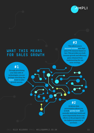

### **#1**

Through prioritising your data with AI technologies, you are perhaps unlocking the fastest route to sales growth success.

## **#3**

This allows you to increase revenue and align sales FTE resource based on fact. This provides you both revenue growth and efficiency gains obtained from implementing the one same strategy.

# **#2**

AI driven data prioritisation allows you to both quickly build (and centrally own) your world and more importantly focus your efforts on the prospects with the highest propensity to purchase.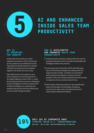

# **AI AND ENHANCED INSIDE SALES TEAM PRODUCTIVITY**

### **WHY IS IT IMPORTANT FOR GROWTH?**

Inside Sales Teams (IST) are under significant pressure in 2021 and beyond as the pandemic has redefined how b2b organisations take themselves to market with field and inside teams morphing together into all but the same entity.

Sales efficiencies and margin are now just as important as revenue growth. In the highly digitised world of 2021, a world facing unprecedented economic challenges, Human intelligence must be unitised with Artificial Intelligence to accelerate and amplify sales growth and drive efficiencies not previously thought possible.

### **HOW AI ACCELERATES AND ENHANCES SALES TEAM PRODUCTIVITY**

- **1** AI helps Improve decision-making with sales reps by giving them greater levels of prospect knowledge and intelligence before they interact.
- **2** AI increases the Productivity of IST and Field sales reps by minimising wastage and making calls into empty prospect worlds - all efforts are prioritised with prospects most likely to transact and with prospects who have already experienced many buying touchpoints of your products and services.
- **3** Sales admin related processes are also significantly improved through AI technologies, freeing up more time for sales reps to do what they do best relationship building and selling!

**ONLY 19% OF COMPANIES HAVE STARTED THEIR A.I. TRANSFORMATION IBM 2019 - AAI IN 2020: FROM EXPERIMENTATION TO ADOPTION**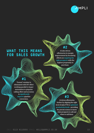

### **#2**

**The Company of the Company of the Company of the Company of the Company of The Company of The Company of The Company of The Company of The Company of The Company of The Company of The Company of The Company of The Company** 

**COMO DE LA COMPANYA DE LA COMPANYA DEL COMPANY** 

AI also drives efficiencies in margin improvement by focussing efforts on targeting the right prospects with the highest propensity to purchase.

### **#1**

**The Contract of the Contract of the Contract of The Contract of The Contract of The Contract of The Contract o** 

'Funnel' mindset is eliminated with IST effort working parallel to hyper automation to pinpoint calling effort and accuracy to significantly improve pipeline conversion.

## **#3**

AI drives efficiencies further by aligning the right level of sales FTE to optimised productivity levels - providing the precise science to know what prospects to call and when to call them.**CONTRACTOR** 

**ANDERS** 

**MARITA**